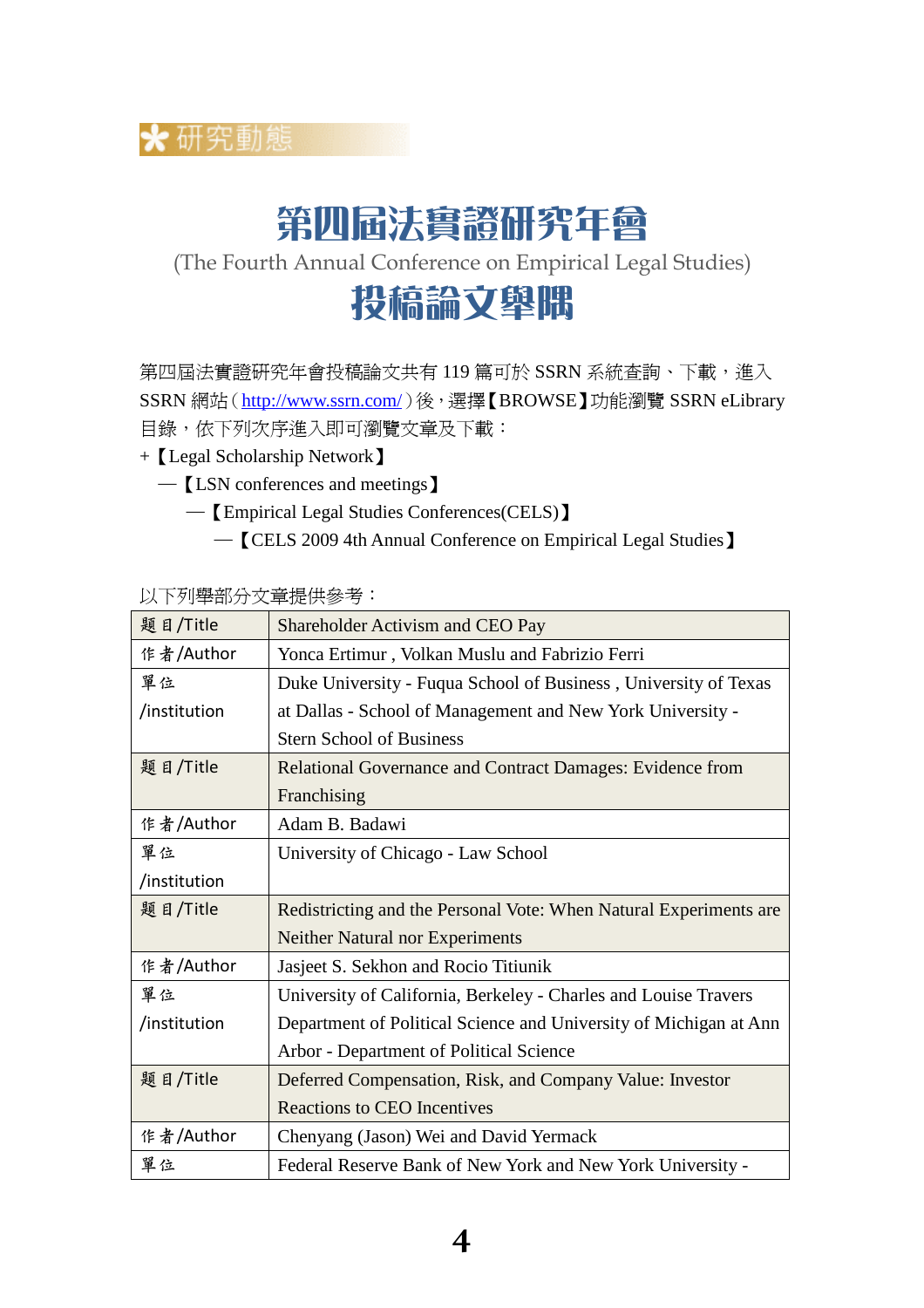

## 第四屆法實證研究年會

(The Fourth Annual Conference on Empirical Legal Studies)

## 投稿論文舉隅

第四屆法實證研究年會投稿論文共有 119 篇可於 SSRN 系統查詢、下載,進入 SSRN 網站(http://www.ssrn.com/)後,選擇【BROWSE】功能瀏覽 SSRN eLibrary 目錄,依下列次序進入即可瀏覽文章及下載:

- +【Legal Scholarship Network】
	- ─【LSN conferences and meetings】
		- ─【Empirical Legal Studies Conferences(CELS)】

— **[CELS 2009 4th Annual Conference on Empirical Legal Studies**]

以下列舉部分文章提供參考:

| 题目/Title     | Shareholder Activism and CEO Pay                                  |
|--------------|-------------------------------------------------------------------|
| 作者/Author    | Yonca Ertimur, Volkan Muslu and Fabrizio Ferri                    |
| 單位           | Duke University - Fuqua School of Business, University of Texas   |
| /institution | at Dallas - School of Management and New York University -        |
|              | <b>Stern School of Business</b>                                   |
| 题目/Title     | Relational Governance and Contract Damages: Evidence from         |
|              | Franchising                                                       |
| 作者/Author    | Adam B. Badawi                                                    |
| 單位           | University of Chicago - Law School                                |
| /institution |                                                                   |
| 题目/Title     | Redistricting and the Personal Vote: When Natural Experiments are |
|              | <b>Neither Natural nor Experiments</b>                            |
| 作者/Author    | Jasjeet S. Sekhon and Rocio Titiunik                              |
| 單位           | University of California, Berkeley - Charles and Louise Travers   |
| /institution | Department of Political Science and University of Michigan at Ann |
|              | Arbor - Department of Political Science                           |
| 题目/Title     | Deferred Compensation, Risk, and Company Value: Investor          |
|              | <b>Reactions to CEO Incentives</b>                                |
| 作者/Author    | Chenyang (Jason) Wei and David Yermack                            |
| 單位           | Federal Reserve Bank of New York and New York University -        |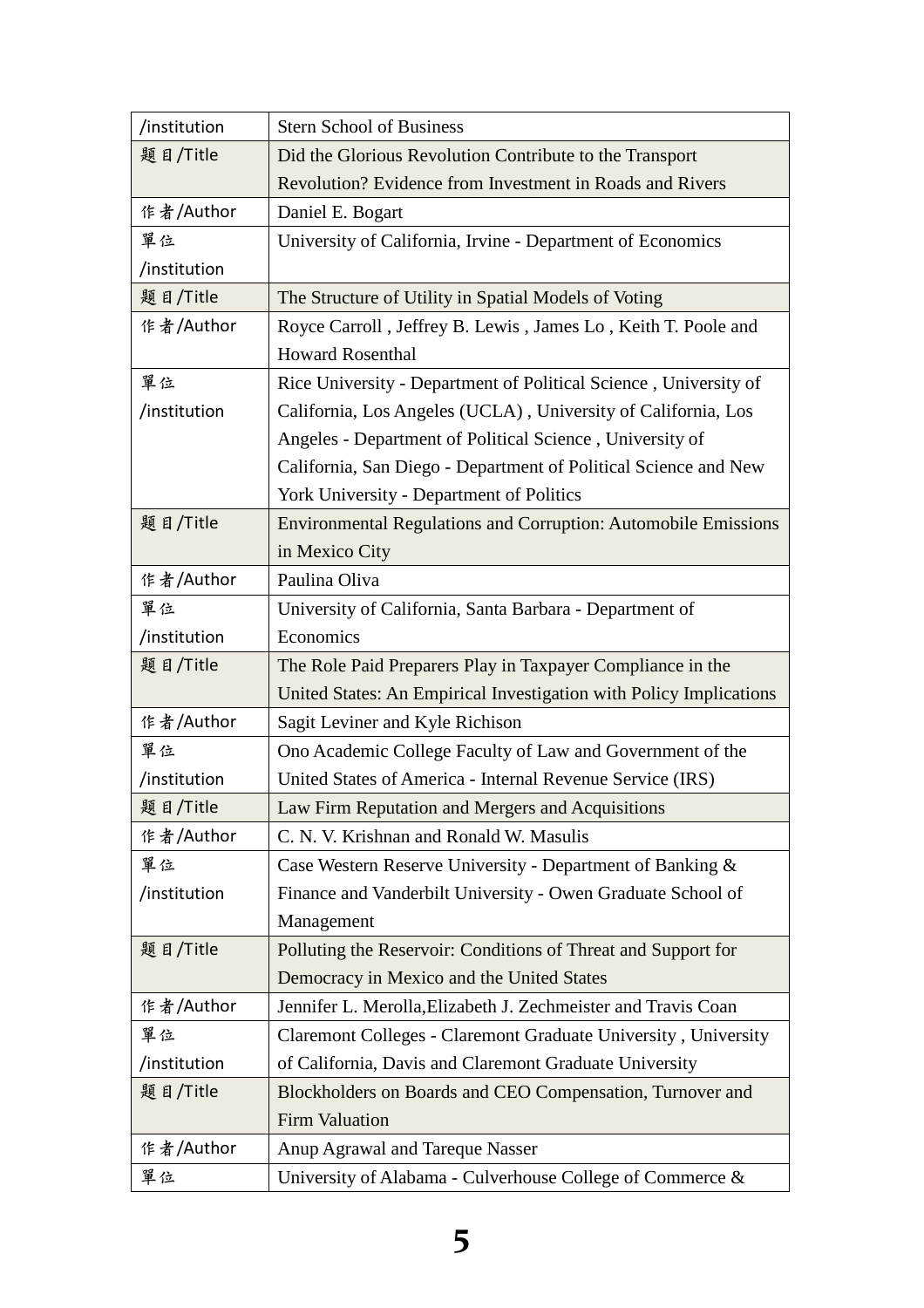| /institution | <b>Stern School of Business</b>                                       |
|--------------|-----------------------------------------------------------------------|
| 题目/Title     | Did the Glorious Revolution Contribute to the Transport               |
|              | Revolution? Evidence from Investment in Roads and Rivers              |
| 作者/Author    | Daniel E. Bogart                                                      |
| 單位           | University of California, Irvine - Department of Economics            |
| /institution |                                                                       |
| 题目/Title     | The Structure of Utility in Spatial Models of Voting                  |
| 作者/Author    | Royce Carroll, Jeffrey B. Lewis, James Lo, Keith T. Poole and         |
|              | <b>Howard Rosenthal</b>                                               |
| 單位           | Rice University - Department of Political Science, University of      |
| /institution | California, Los Angeles (UCLA), University of California, Los         |
|              | Angeles - Department of Political Science, University of              |
|              | California, San Diego - Department of Political Science and New       |
|              | York University - Department of Politics                              |
| 题目/Title     | <b>Environmental Regulations and Corruption: Automobile Emissions</b> |
|              | in Mexico City                                                        |
| 作者/Author    | Paulina Oliva                                                         |
| 單位           | University of California, Santa Barbara - Department of               |
| /institution | Economics                                                             |
| 題目/Title     | The Role Paid Preparers Play in Taxpayer Compliance in the            |
|              | United States: An Empirical Investigation with Policy Implications    |
| 作者/Author    | Sagit Leviner and Kyle Richison                                       |
| 單位           | Ono Academic College Faculty of Law and Government of the             |
| /institution | United States of America - Internal Revenue Service (IRS)             |
| 题目/Title     | Law Firm Reputation and Mergers and Acquisitions                      |
| 作者/Author    | C. N. V. Krishnan and Ronald W. Masulis                               |
| 單位           | Case Western Reserve University - Department of Banking &             |
| /institution | Finance and Vanderbilt University - Owen Graduate School of           |
|              | Management                                                            |
| 题目/Title     | Polluting the Reservoir: Conditions of Threat and Support for         |
|              | Democracy in Mexico and the United States                             |
| 作者/Author    | Jennifer L. Merolla, Elizabeth J. Zechmeister and Travis Coan         |
| 單位           | Claremont Colleges - Claremont Graduate University, University        |
| /institution | of California, Davis and Claremont Graduate University                |
| 题目/Title     | Blockholders on Boards and CEO Compensation, Turnover and             |
|              | <b>Firm Valuation</b>                                                 |
| 作者/Author    | Anup Agrawal and Tareque Nasser                                       |
| 單位           | University of Alabama - Culverhouse College of Commerce &             |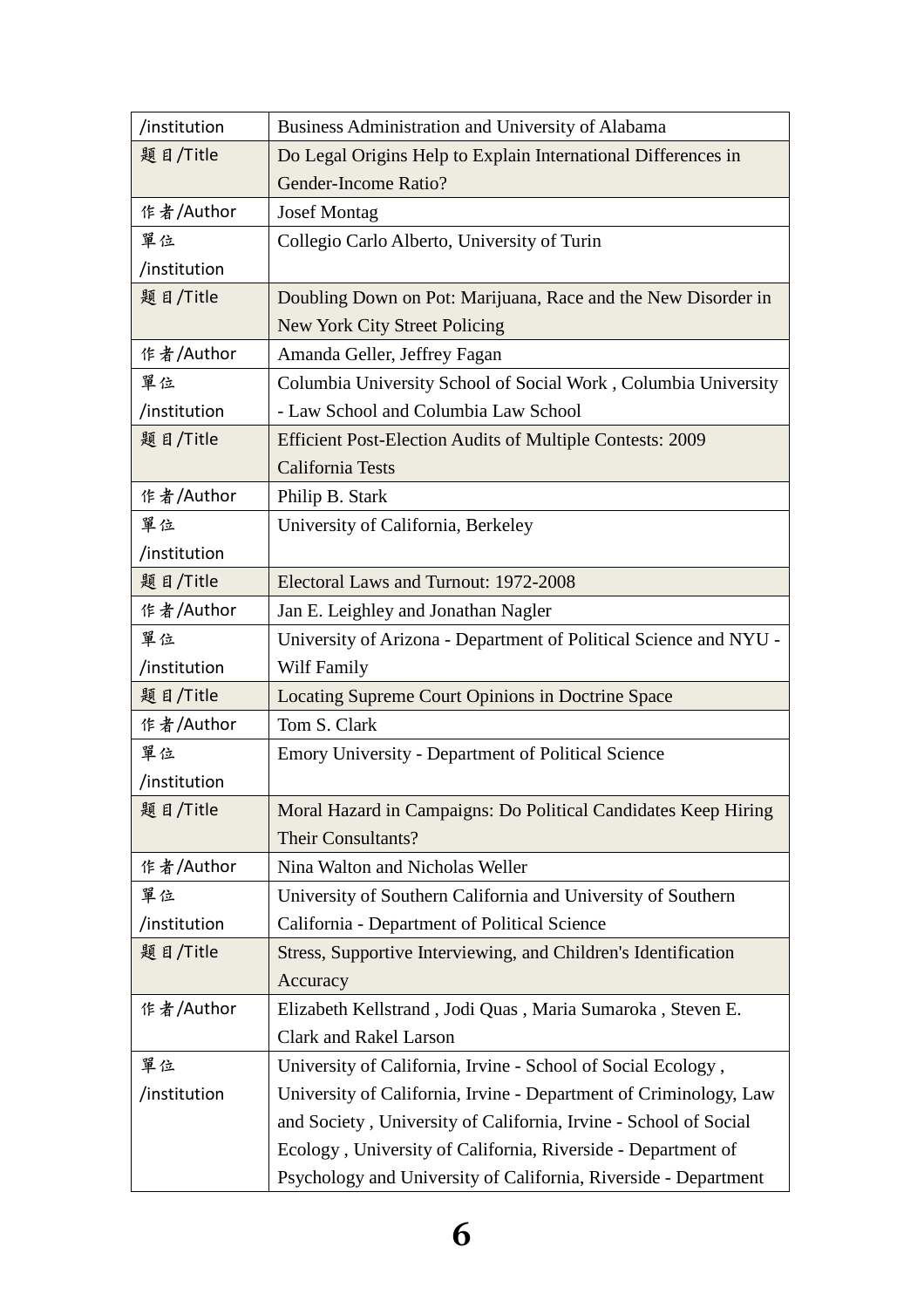| /institution | Business Administration and University of Alabama                 |
|--------------|-------------------------------------------------------------------|
| 题目/Title     | Do Legal Origins Help to Explain International Differences in     |
|              | Gender-Income Ratio?                                              |
| 作者/Author    | <b>Josef Montag</b>                                               |
| 單位           | Collegio Carlo Alberto, University of Turin                       |
| /institution |                                                                   |
| 题目/Title     | Doubling Down on Pot: Marijuana, Race and the New Disorder in     |
|              | New York City Street Policing                                     |
| 作者/Author    | Amanda Geller, Jeffrey Fagan                                      |
| 單位           | Columbia University School of Social Work, Columbia University    |
| /institution | - Law School and Columbia Law School                              |
| 题目/Title     | <b>Efficient Post-Election Audits of Multiple Contests: 2009</b>  |
|              | California Tests                                                  |
| 作者/Author    | Philip B. Stark                                                   |
| 單位           | University of California, Berkeley                                |
| /institution |                                                                   |
| 題目/Title     | Electoral Laws and Turnout: 1972-2008                             |
| 作者/Author    | Jan E. Leighley and Jonathan Nagler                               |
| 單位           | University of Arizona - Department of Political Science and NYU - |
| /institution | Wilf Family                                                       |
| 题目/Title     | Locating Supreme Court Opinions in Doctrine Space                 |
| 作者/Author    | Tom S. Clark                                                      |
| 單位           | <b>Emory University - Department of Political Science</b>         |
| /institution |                                                                   |
| 题目/Title     | Moral Hazard in Campaigns: Do Political Candidates Keep Hiring    |
|              | <b>Their Consultants?</b>                                         |
| 作者/Author    | Nina Walton and Nicholas Weller                                   |
| 單位           | University of Southern California and University of Southern      |
| /institution | California - Department of Political Science                      |
| 题目/Title     | Stress, Supportive Interviewing, and Children's Identification    |
|              | Accuracy                                                          |
| 作者/Author    | Elizabeth Kellstrand, Jodi Quas, Maria Sumaroka, Steven E.        |
|              | <b>Clark and Rakel Larson</b>                                     |
| 單位           | University of California, Irvine - School of Social Ecology,      |
| /institution | University of California, Irvine - Department of Criminology, Law |
|              | and Society, University of California, Irvine - School of Social  |
|              | Ecology, University of California, Riverside - Department of      |
|              | Psychology and University of California, Riverside - Department   |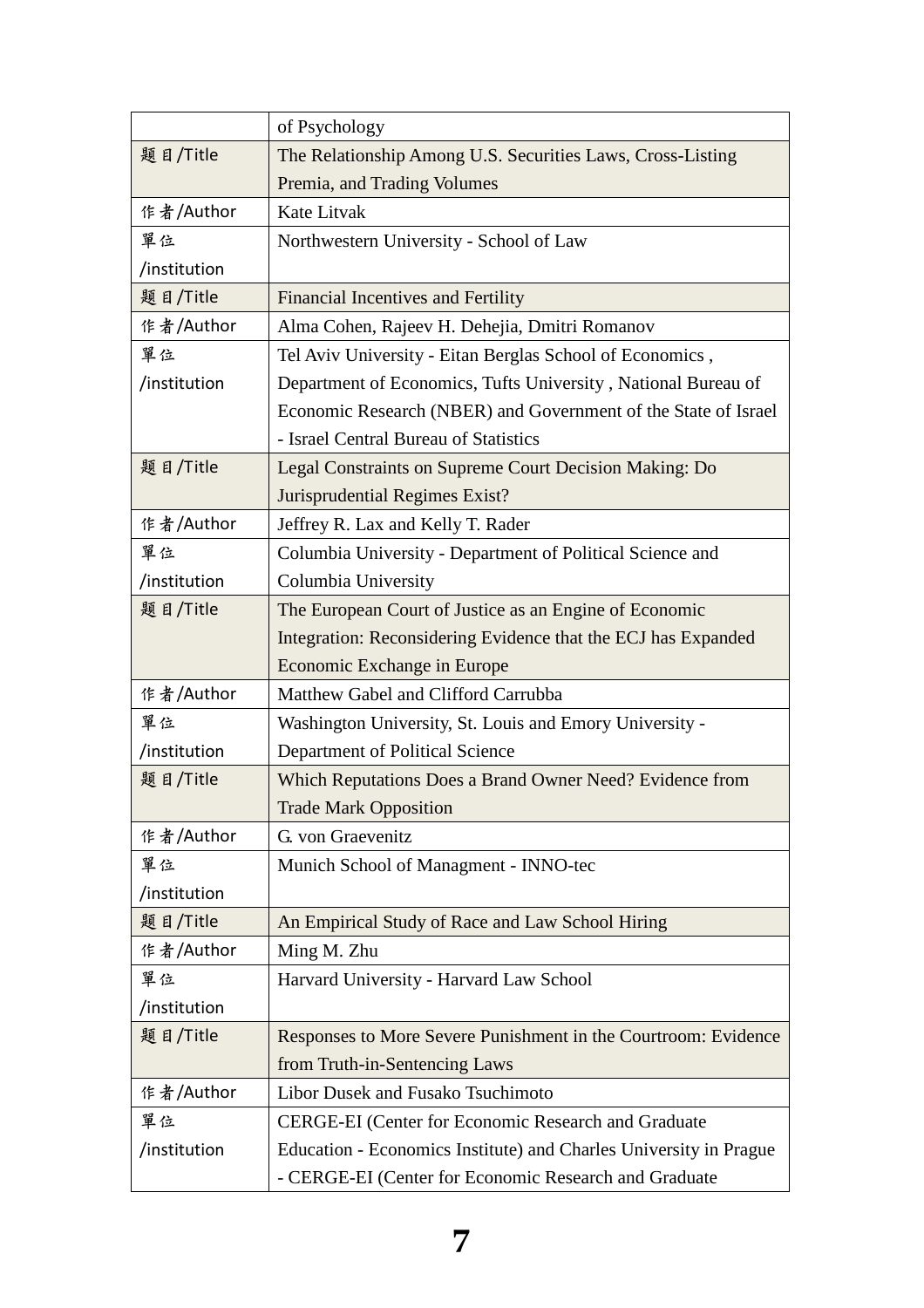|              | of Psychology                                                     |
|--------------|-------------------------------------------------------------------|
| 题目/Title     | The Relationship Among U.S. Securities Laws, Cross-Listing        |
|              | Premia, and Trading Volumes                                       |
| 作者/Author    | Kate Litvak                                                       |
| 單位           | Northwestern University - School of Law                           |
| /institution |                                                                   |
| 题目/Title     | <b>Financial Incentives and Fertility</b>                         |
| 作者/Author    | Alma Cohen, Rajeev H. Dehejia, Dmitri Romanov                     |
| 單位           | Tel Aviv University - Eitan Berglas School of Economics,          |
| /institution | Department of Economics, Tufts University, National Bureau of     |
|              | Economic Research (NBER) and Government of the State of Israel    |
|              | - Israel Central Bureau of Statistics                             |
| 题目/Title     | Legal Constraints on Supreme Court Decision Making: Do            |
|              | Jurisprudential Regimes Exist?                                    |
| 作者/Author    | Jeffrey R. Lax and Kelly T. Rader                                 |
| 單位           | Columbia University - Department of Political Science and         |
| /institution | Columbia University                                               |
| 題目/Title     | The European Court of Justice as an Engine of Economic            |
|              | Integration: Reconsidering Evidence that the ECJ has Expanded     |
|              | Economic Exchange in Europe                                       |
| 作者/Author    | Matthew Gabel and Clifford Carrubba                               |
| 單位           | Washington University, St. Louis and Emory University -           |
| /institution | Department of Political Science                                   |
| 题目/Title     | Which Reputations Does a Brand Owner Need? Evidence from          |
|              | <b>Trade Mark Opposition</b>                                      |
| 作者/Author    | G. von Graevenitz                                                 |
| 單位           | Munich School of Managment - INNO-tec                             |
| /institution |                                                                   |
| 题目/Title     | An Empirical Study of Race and Law School Hiring                  |
| 作者/Author    | Ming M. Zhu                                                       |
| 單位           | Harvard University - Harvard Law School                           |
| /institution |                                                                   |
| 題目/Title     | Responses to More Severe Punishment in the Courtroom: Evidence    |
|              | from Truth-in-Sentencing Laws                                     |
| 作者/Author    | Libor Dusek and Fusako Tsuchimoto                                 |
| 單位           | <b>CERGE-EI</b> (Center for Economic Research and Graduate        |
| /institution | Education - Economics Institute) and Charles University in Prague |
|              | - CERGE-EI (Center for Economic Research and Graduate             |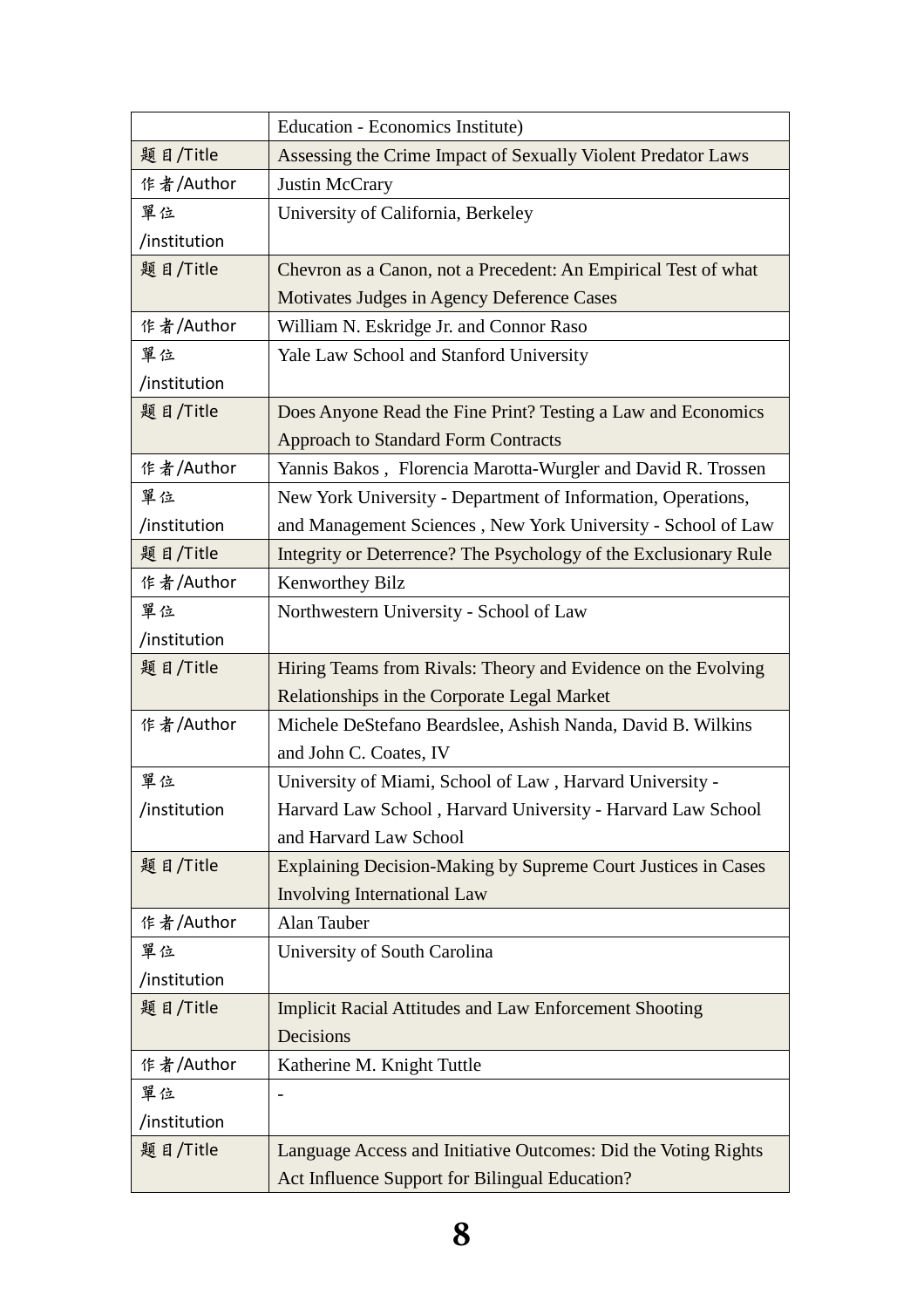|              | <b>Education - Economics Institute)</b>                          |
|--------------|------------------------------------------------------------------|
| 題目/Title     | Assessing the Crime Impact of Sexually Violent Predator Laws     |
| 作者/Author    | Justin McCrary                                                   |
| 單位           | University of California, Berkeley                               |
| /institution |                                                                  |
| 题目/Title     | Chevron as a Canon, not a Precedent: An Empirical Test of what   |
|              | Motivates Judges in Agency Deference Cases                       |
| 作者/Author    | William N. Eskridge Jr. and Connor Raso                          |
| 單位           | Yale Law School and Stanford University                          |
| /institution |                                                                  |
| 題目/Title     | Does Anyone Read the Fine Print? Testing a Law and Economics     |
|              | <b>Approach to Standard Form Contracts</b>                       |
| 作者/Author    | Yannis Bakos, Florencia Marotta-Wurgler and David R. Trossen     |
| 單位           | New York University - Department of Information, Operations,     |
| /institution | and Management Sciences, New York University - School of Law     |
| 题目/Title     | Integrity or Deterrence? The Psychology of the Exclusionary Rule |
| 作者/Author    | Kenworthey Bilz                                                  |
| 單位           | Northwestern University - School of Law                          |
| /institution |                                                                  |
| 题目/Title     | Hiring Teams from Rivals: Theory and Evidence on the Evolving    |
|              | Relationships in the Corporate Legal Market                      |
| 作者/Author    | Michele DeStefano Beardslee, Ashish Nanda, David B. Wilkins      |
|              | and John C. Coates, IV                                           |
| 單位           | University of Miami, School of Law, Harvard University -         |
| /institution | Harvard Law School, Harvard University - Harvard Law School      |
|              | and Harvard Law School                                           |
| 题目/Title     | Explaining Decision-Making by Supreme Court Justices in Cases    |
|              | <b>Involving International Law</b>                               |
| 作者/Author    | Alan Tauber                                                      |
| 單位           | University of South Carolina                                     |
| /institution |                                                                  |
| 题目/Title     | <b>Implicit Racial Attitudes and Law Enforcement Shooting</b>    |
|              | Decisions                                                        |
| 作者/Author    | Katherine M. Knight Tuttle                                       |
| 單位           | $\overline{\phantom{a}}$                                         |
| /institution |                                                                  |
| 題目/Title     | Language Access and Initiative Outcomes: Did the Voting Rights   |
|              | Act Influence Support for Bilingual Education?                   |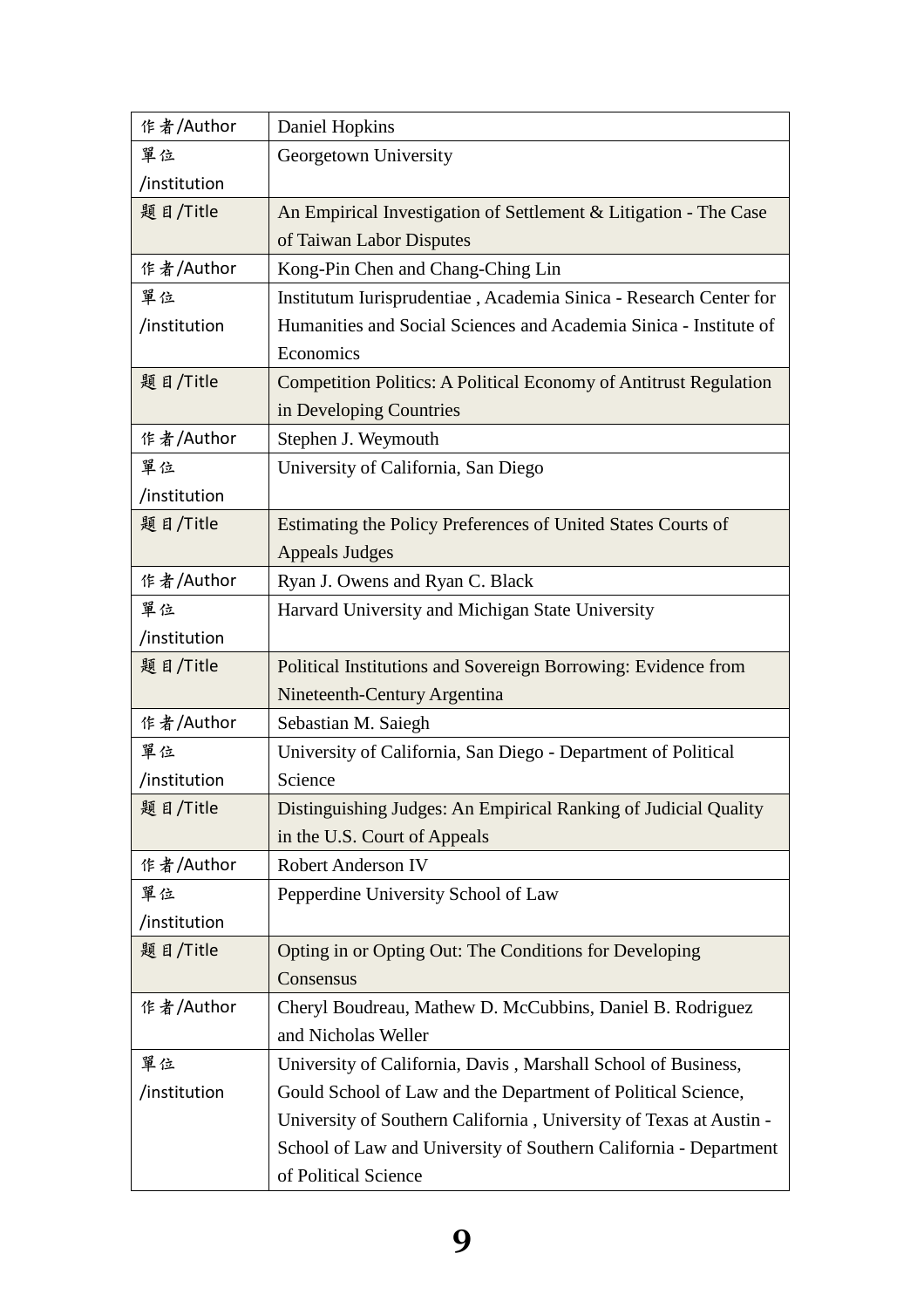| 作者/Author    | Daniel Hopkins                                                           |
|--------------|--------------------------------------------------------------------------|
| 單位           | Georgetown University                                                    |
| /institution |                                                                          |
| 题目/Title     | An Empirical Investigation of Settlement & Litigation - The Case         |
|              | of Taiwan Labor Disputes                                                 |
| 作者/Author    | Kong-Pin Chen and Chang-Ching Lin                                        |
| 單位           | Institutum Iurisprudentiae, Academia Sinica - Research Center for        |
| /institution | Humanities and Social Sciences and Academia Sinica - Institute of        |
|              | Economics                                                                |
| 题目/Title     | <b>Competition Politics: A Political Economy of Antitrust Regulation</b> |
|              | in Developing Countries                                                  |
| 作者/Author    | Stephen J. Weymouth                                                      |
| 單位           | University of California, San Diego                                      |
| /institution |                                                                          |
| 题目/Title     | Estimating the Policy Preferences of United States Courts of             |
|              | <b>Appeals Judges</b>                                                    |
| 作者/Author    | Ryan J. Owens and Ryan C. Black                                          |
| 單位           | Harvard University and Michigan State University                         |
| /institution |                                                                          |
| 題目/Title     | Political Institutions and Sovereign Borrowing: Evidence from            |
|              | Nineteenth-Century Argentina                                             |
| 作者/Author    | Sebastian M. Saiegh                                                      |
| 單位           | University of California, San Diego - Department of Political            |
| /institution | Science                                                                  |
| 题目/Title     | Distinguishing Judges: An Empirical Ranking of Judicial Quality          |
|              | in the U.S. Court of Appeals                                             |
| 作者/Author    | <b>Robert Anderson IV</b>                                                |
| 單位           | Pepperdine University School of Law                                      |
| /institution |                                                                          |
| 题目/Title     | Opting in or Opting Out: The Conditions for Developing                   |
|              | Consensus                                                                |
| 作者/Author    | Cheryl Boudreau, Mathew D. McCubbins, Daniel B. Rodriguez                |
|              | and Nicholas Weller                                                      |
| 單位           | University of California, Davis, Marshall School of Business,            |
| /institution | Gould School of Law and the Department of Political Science,             |
|              | University of Southern California, University of Texas at Austin -       |
|              | School of Law and University of Southern California - Department         |
|              | of Political Science                                                     |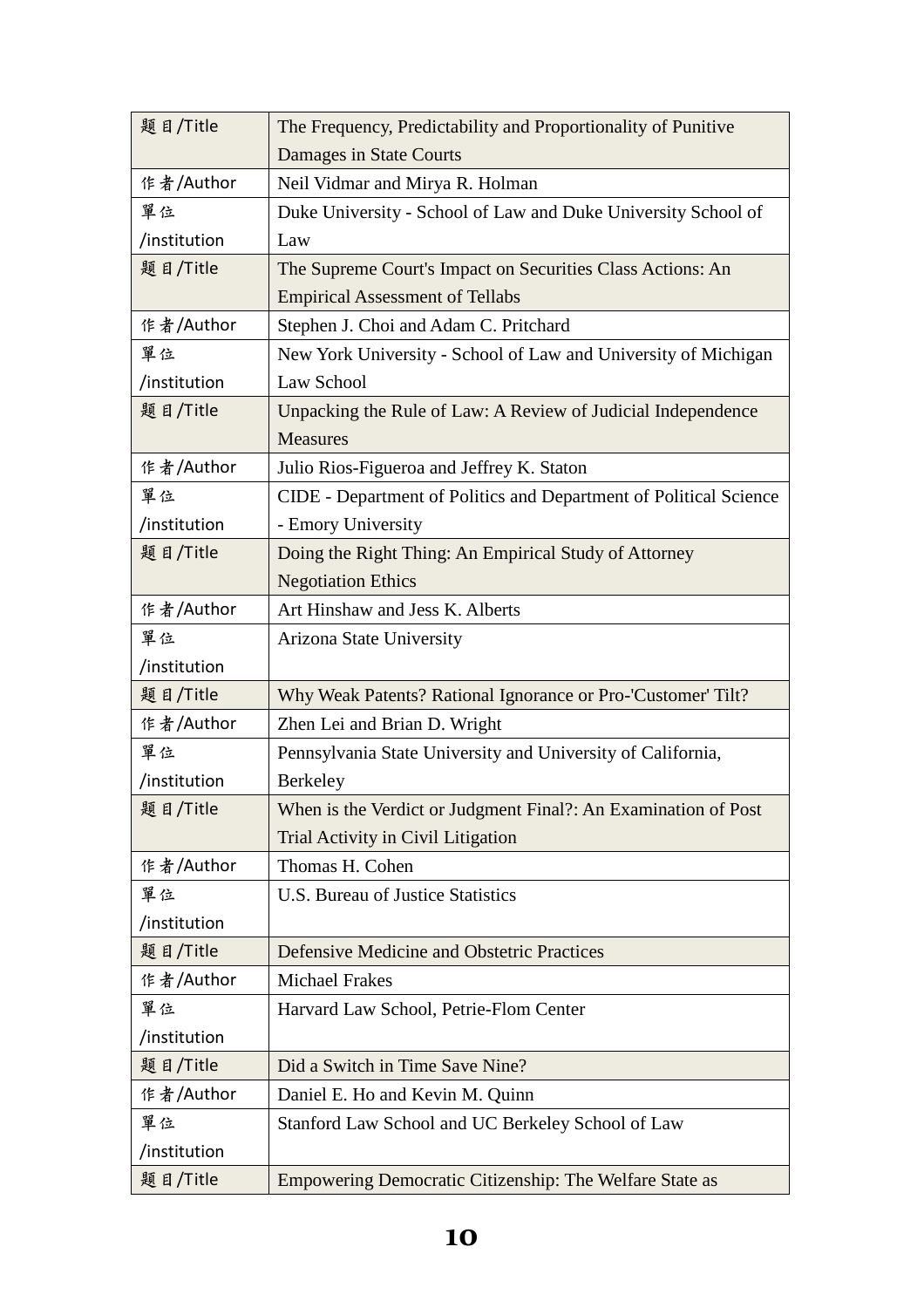| 题目/Title     | The Frequency, Predictability and Proportionality of Punitive     |
|--------------|-------------------------------------------------------------------|
|              | Damages in State Courts                                           |
| 作者/Author    | Neil Vidmar and Mirya R. Holman                                   |
| 單位           | Duke University - School of Law and Duke University School of     |
| /institution | Law                                                               |
| 题目/Title     | The Supreme Court's Impact on Securities Class Actions: An        |
|              | <b>Empirical Assessment of Tellabs</b>                            |
| 作者/Author    | Stephen J. Choi and Adam C. Pritchard                             |
| 單位           | New York University - School of Law and University of Michigan    |
| /institution | Law School                                                        |
| 题目/Title     | Unpacking the Rule of Law: A Review of Judicial Independence      |
|              | <b>Measures</b>                                                   |
| 作者/Author    | Julio Rios-Figueroa and Jeffrey K. Staton                         |
| 單位           | CIDE - Department of Politics and Department of Political Science |
| /institution | - Emory University                                                |
| 題目/Title     | Doing the Right Thing: An Empirical Study of Attorney             |
|              | <b>Negotiation Ethics</b>                                         |
| 作者/Author    | Art Hinshaw and Jess K. Alberts                                   |
| 單位           | Arizona State University                                          |
| /institution |                                                                   |
| 题目/Title     | Why Weak Patents? Rational Ignorance or Pro-'Customer' Tilt?      |
| 作者/Author    | Zhen Lei and Brian D. Wright                                      |
| 單位           | Pennsylvania State University and University of California,       |
| /institution | <b>Berkeley</b>                                                   |
| 题目/Title     | When is the Verdict or Judgment Final?: An Examination of Post    |
|              | Trial Activity in Civil Litigation                                |
| 作者/Author    | Thomas H. Cohen                                                   |
| 單位           | U.S. Bureau of Justice Statistics                                 |
| /institution |                                                                   |
| 题目/Title     | <b>Defensive Medicine and Obstetric Practices</b>                 |
| 作者/Author    | <b>Michael Frakes</b>                                             |
| 單位           | Harvard Law School, Petrie-Flom Center                            |
| /institution |                                                                   |
| 題目/Title     | Did a Switch in Time Save Nine?                                   |
| 作者/Author    | Daniel E. Ho and Kevin M. Quinn                                   |
| 單位           | Stanford Law School and UC Berkeley School of Law                 |
| /institution |                                                                   |
| 题目/Title     | Empowering Democratic Citizenship: The Welfare State as           |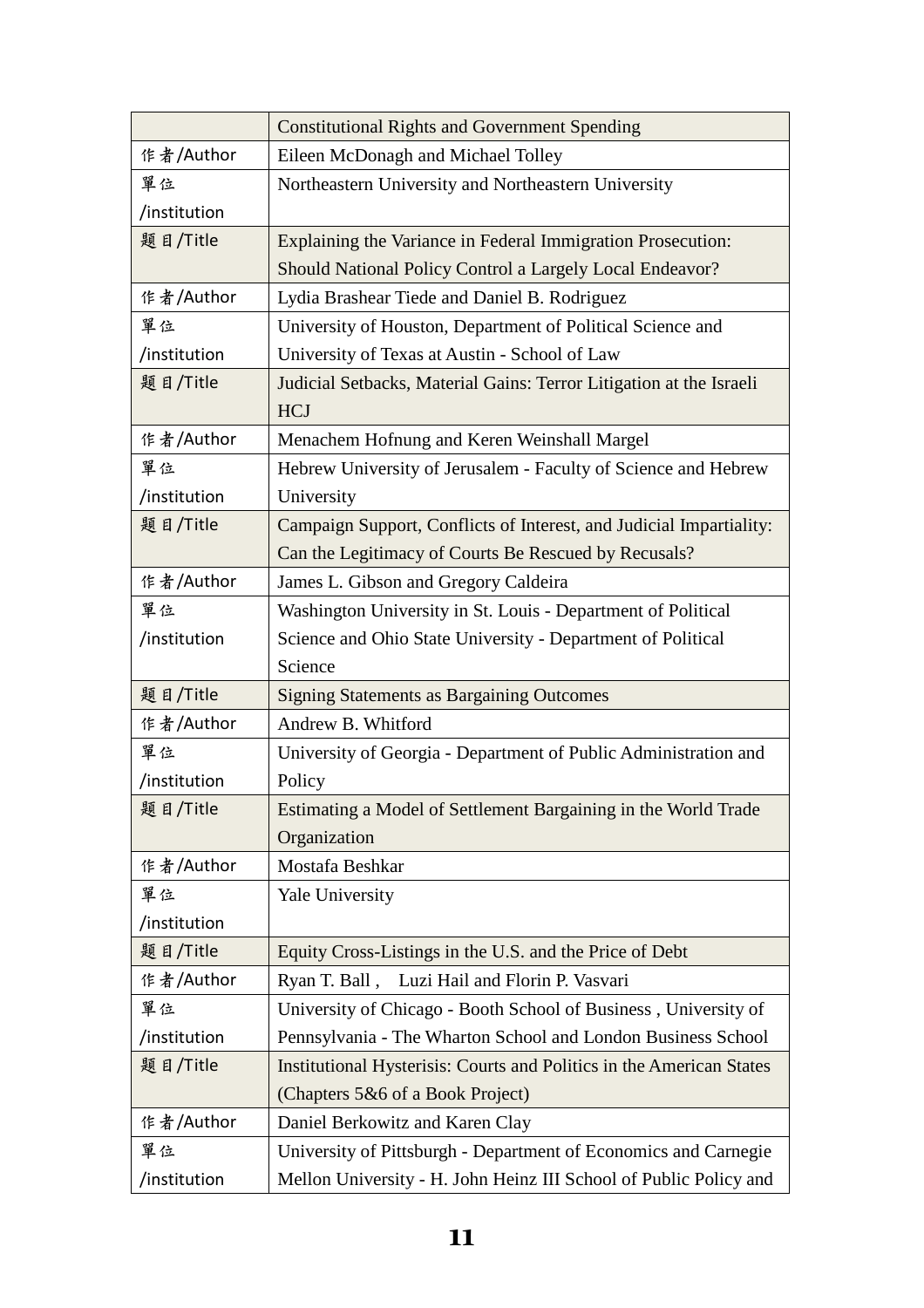|              | <b>Constitutional Rights and Government Spending</b>                 |
|--------------|----------------------------------------------------------------------|
| 作者/Author    | Eileen McDonagh and Michael Tolley                                   |
| 單位           | Northeastern University and Northeastern University                  |
| /institution |                                                                      |
| 题目/Title     | Explaining the Variance in Federal Immigration Prosecution:          |
|              | Should National Policy Control a Largely Local Endeavor?             |
| 作者/Author    | Lydia Brashear Tiede and Daniel B. Rodriguez                         |
| 單位           | University of Houston, Department of Political Science and           |
| /institution | University of Texas at Austin - School of Law                        |
| 题目/Title     | Judicial Setbacks, Material Gains: Terror Litigation at the Israeli  |
|              | <b>HCJ</b>                                                           |
| 作者/Author    | Menachem Hofnung and Keren Weinshall Margel                          |
| 單位           | Hebrew University of Jerusalem - Faculty of Science and Hebrew       |
| /institution | University                                                           |
| 題目/Title     | Campaign Support, Conflicts of Interest, and Judicial Impartiality:  |
|              | Can the Legitimacy of Courts Be Rescued by Recusals?                 |
| 作者/Author    | James L. Gibson and Gregory Caldeira                                 |
| 單位           | Washington University in St. Louis - Department of Political         |
| /institution | Science and Ohio State University - Department of Political          |
|              | Science                                                              |
| 题目/Title     | <b>Signing Statements as Bargaining Outcomes</b>                     |
| 作者/Author    | Andrew B. Whitford                                                   |
| 單位           | University of Georgia - Department of Public Administration and      |
| /institution | Policy                                                               |
| 题目/Title     | Estimating a Model of Settlement Bargaining in the World Trade       |
|              | Organization                                                         |
| 作者/Author    | Mostafa Beshkar                                                      |
| 單位           | Yale University                                                      |
| /institution |                                                                      |
| 題目/Title     | Equity Cross-Listings in the U.S. and the Price of Debt              |
| 作者/Author    | Luzi Hail and Florin P. Vasvari<br>Ryan T. Ball,                     |
| 單位           | University of Chicago - Booth School of Business, University of      |
| /institution | Pennsylvania - The Wharton School and London Business School         |
| 題目/Title     | Institutional Hysterisis: Courts and Politics in the American States |
|              | (Chapters 5&6 of a Book Project)                                     |
| 作者/Author    | Daniel Berkowitz and Karen Clay                                      |
| 單位           | University of Pittsburgh - Department of Economics and Carnegie      |
| /institution | Mellon University - H. John Heinz III School of Public Policy and    |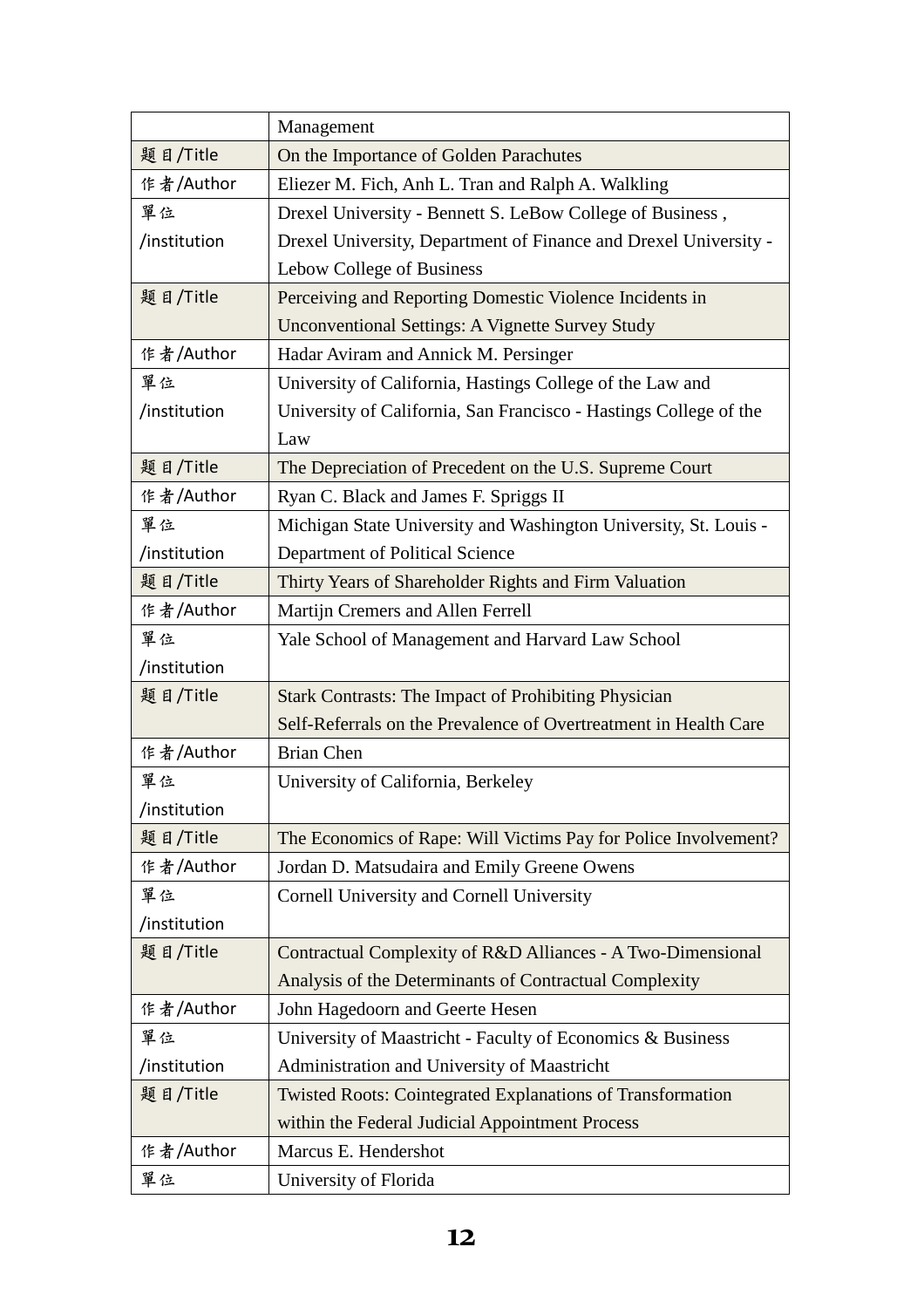|              | Management                                                        |
|--------------|-------------------------------------------------------------------|
| 题目/Title     | On the Importance of Golden Parachutes                            |
| 作者/Author    | Eliezer M. Fich, Anh L. Tran and Ralph A. Walkling                |
| 單位           | Drexel University - Bennett S. LeBow College of Business,         |
| /institution | Drexel University, Department of Finance and Drexel University -  |
|              | Lebow College of Business                                         |
| 题目/Title     | Perceiving and Reporting Domestic Violence Incidents in           |
|              | <b>Unconventional Settings: A Vignette Survey Study</b>           |
| 作者/Author    | Hadar Aviram and Annick M. Persinger                              |
| 單位           | University of California, Hastings College of the Law and         |
| /institution | University of California, San Francisco - Hastings College of the |
|              | Law                                                               |
| 题目/Title     | The Depreciation of Precedent on the U.S. Supreme Court           |
| 作者/Author    | Ryan C. Black and James F. Spriggs II                             |
| 單位           | Michigan State University and Washington University, St. Louis -  |
| /institution | Department of Political Science                                   |
| 題目/Title     | Thirty Years of Shareholder Rights and Firm Valuation             |
| 作者/Author    | Martijn Cremers and Allen Ferrell                                 |
| 單位           | Yale School of Management and Harvard Law School                  |
| /institution |                                                                   |
| 题目/Title     | <b>Stark Contrasts: The Impact of Prohibiting Physician</b>       |
|              | Self-Referrals on the Prevalence of Overtreatment in Health Care  |
| 作者/Author    | <b>Brian Chen</b>                                                 |
| 單位           | University of California, Berkeley                                |
| /institution |                                                                   |
| 題目/Title     | The Economics of Rape: Will Victims Pay for Police Involvement?   |
| 作者/Author    | Jordan D. Matsudaira and Emily Greene Owens                       |
| 單位           | Cornell University and Cornell University                         |
| /institution |                                                                   |
| 题目/Title     | Contractual Complexity of R&D Alliances - A Two-Dimensional       |
|              | Analysis of the Determinants of Contractual Complexity            |
| 作者/Author    | John Hagedoorn and Geerte Hesen                                   |
| 單位           | University of Maastricht - Faculty of Economics & Business        |
| /institution | Administration and University of Maastricht                       |
| 題目/Title     | <b>Twisted Roots: Cointegrated Explanations of Transformation</b> |
|              | within the Federal Judicial Appointment Process                   |
| 作者/Author    | Marcus E. Hendershot                                              |
| 單位           | University of Florida                                             |